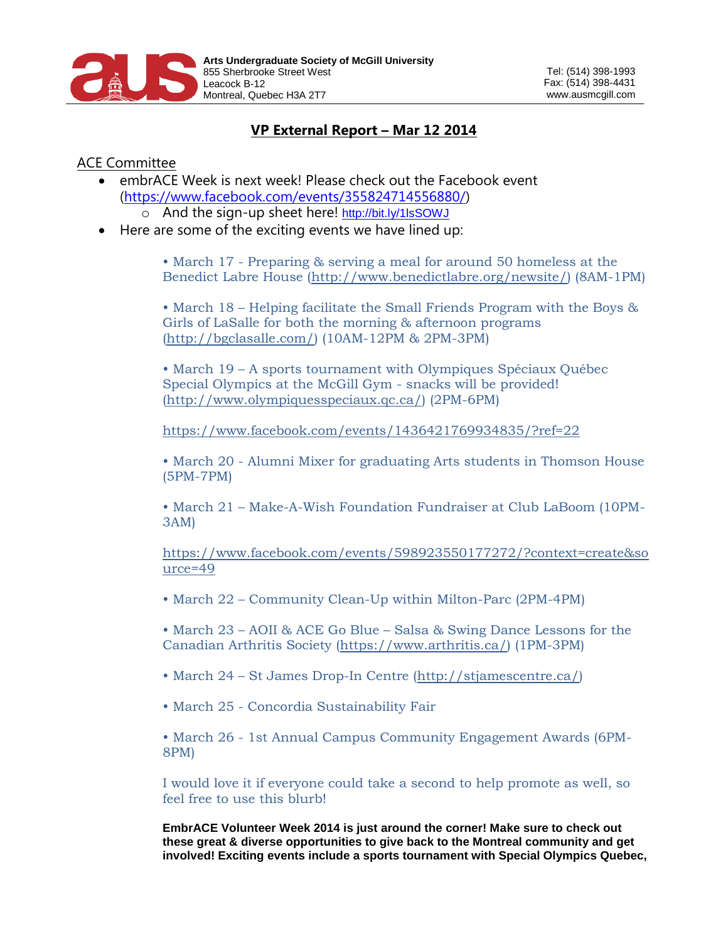

## **VP External Report – Mar 12 2014**

## ACE Committee

- embrACE Week is next week! Please check out the Facebook event [\(https://www.facebook.com/events/355824714556880/\)](https://www.facebook.com/events/355824714556880/)
	- o And the sign-up sheet here! <http://bit.ly/1lsSOWJ>
- Here are some of the exciting events we have lined up:

• March 17 - Preparing & serving a meal for around 50 homeless at the Benedict Labre House [\(http://www.benedictlabre.org/newsite/\)](http://www.facebook.com/l.php?u=http%3A%2F%2Fwww.benedictlabre.org%2Fnewsite%2F&h=PAQHzoufI&enc=AZN28R5RPOrmtYaW7drvjLZS9uPvklzdnMRUnSbAcc379h2dLwd25ur_M2F2DCSIUsM&s=1) (8AM-1PM)

• March 18 – Helping facilitate the Small Friends Program with the Boys & Girls of LaSalle for both the morning & afternoon programs [\(http://bgclasalle.com/\)](http://www.facebook.com/l.php?u=http%3A%2F%2Fbgclasalle.com%2F&h=BAQFoTusS&enc=AZM_CsWYvG1XIup2SgMlJS1u0J9Kr9iVlEBi5Xuad_YaMLNKK4EATJK2KgRY689haKo&s=1) (10AM-12PM & 2PM-3PM)

• March 19 – A sports tournament with Olympiques Spéciaux Québec Special Olympics at the McGill Gym - snacks will be provided! [\(http://www.olympiquesspeciaux.qc.ca/\)](http://www.olympiquesspeciaux.qc.ca/) (2PM-6PM)

<https://www.facebook.com/events/1436421769934835/?ref=22>

• March 20 - Alumni Mixer for graduating Arts students in Thomson House (5PM-7PM)

• March 21 – Make-A-Wish Foundation Fundraiser at Club LaBoom (10PM-3AM)

[https://www.facebook.com/events/598923550177272/?context=create&so](https://www.facebook.com/events/598923550177272/?context=create&source=49) [urce=49](https://www.facebook.com/events/598923550177272/?context=create&source=49)

• March 22 – Community Clean-Up within Milton-Parc (2PM-4PM)

• March 23 – AOII & ACE Go Blue – Salsa & Swing Dance Lessons for the Canadian Arthritis Society [\(https://www.arthritis.ca/\)](https://www.facebook.com/l.php?u=https%3A%2F%2Fwww.arthritis.ca%2F&h=xAQGFYVQm&enc=AZMI8HwitrteCIRcdGcMypm1dTpXdKAIeg0QPC8mwa5E-pc6TmN6BNvN0DhQn1vFUaY&s=1) (1PM-3PM)

- March 24 St James Drop-In Centre [\(http://stjamescentre.ca/\)](http://www.facebook.com/l.php?u=http%3A%2F%2Fstjamescentre.ca%2F&h=LAQFV-ivP&enc=AZPe4LVPYqCxJNTOwXEK3IxaP1wlRwmgwG0Ae7GpSTGmGu-JYVT0KB61RKOuyqz-YCA&s=1)
- March 25 Concordia Sustainability Fair

• March 26 - 1st Annual Campus Community Engagement Awards (6PM-8PM)

I would love it if everyone could take a second to help promote as well, so feel free to use this blurb!

**EmbrACE Volunteer Week 2014 is just around the corner! Make sure to check out these great & diverse opportunities to give back to the Montreal community and get involved! Exciting events include a sports tournament with Special Olympics Quebec,**